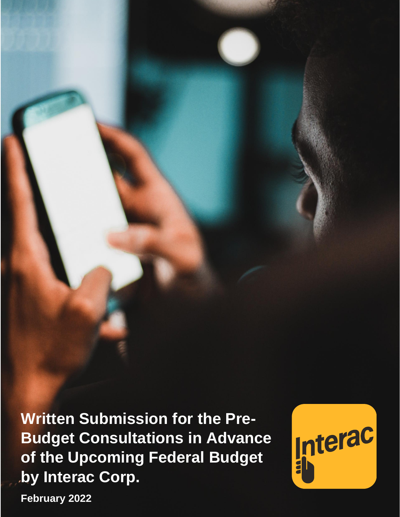by Interac Corp. **Written Submission for the Pre-Budget Consultations in Advance of the Upcoming Federal Budget**



**February 2022**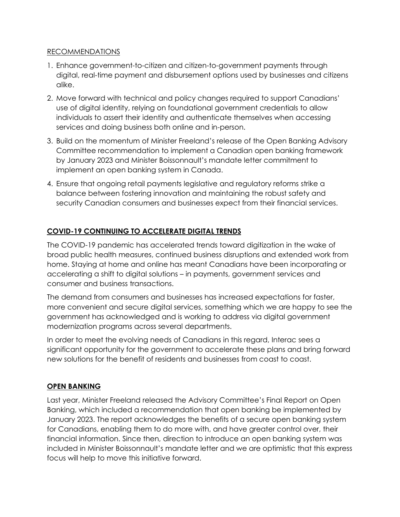### RECOMMENDATIONS

- 1. Enhance government-to-citizen and citizen-to-government payments through digital, real-time payment and disbursement options used by businesses and citizens alike.
- 2. Move forward with technical and policy changes required to support Canadians' use of digital identity, relying on foundational government credentials to allow individuals to assert their identity and authenticate themselves when accessing services and doing business both online and in-person.
- 3. Build on the momentum of Minister Freeland's release of the Open Banking Advisory Committee recommendation to implement a Canadian open banking framework by January 2023 and Minister Boissonnault's mandate letter commitment to implement an open banking system in Canada.
- 4. Ensure that ongoing retail payments legislative and regulatory reforms strike a balance between fostering innovation and maintaining the robust safety and security Canadian consumers and businesses expect from their financial services.

# **COVID-19 CONTINUING TO ACCELERATE DIGITAL TRENDS**

The COVID-19 pandemic has accelerated trends toward digitization in the wake of broad public health measures, continued business disruptions and extended work from home. Staying at home and online has meant Canadians have been incorporating or accelerating a shift to digital solutions – in payments, government services and consumer and business transactions.

The demand from consumers and businesses has increased expectations for faster, more convenient and secure digital services, something which we are happy to see the government has acknowledged and is working to address via digital government modernization programs across several departments.

In order to meet the evolving needs of Canadians in this regard, Interac sees a significant opportunity for the government to accelerate these plans and bring forward new solutions for the benefit of residents and businesses from coast to coast.

### **OPEN BANKING**

Last year, Minister Freeland released the Advisory Committee's Final Report on Open Banking, which included a recommendation that open banking be implemented by January 2023. The report acknowledges the benefits of a secure open banking system for Canadians, enabling them to do more with, and have greater control over, their financial information. Since then, direction to introduce an open banking system was included in Minister Boissonnault's mandate letter and we are optimistic that this express focus will help to move this initiative forward.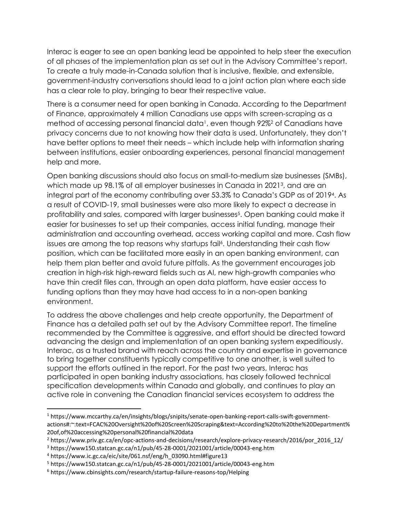Interac is eager to see an open banking lead be appointed to help steer the execution of all phases of the implementation plan as set out in the Advisory Committee's report. To create a truly made-in-Canada solution that is inclusive, flexible, and extensible, government-industry conversations should lead to a joint action plan where each side has a clear role to play, bringing to bear their respective value.

There is a consumer need for open banking in Canada. According to the Department of Finance, approximately 4 million Canadians use apps with screen-scraping as a method of accessing personal financial data<sup>1</sup>, even though 92%<sup>2</sup> of Canadians have privacy concerns due to not knowing how their data is used. Unfortunately, they don't have better options to meet their needs – which include help with information sharing between institutions, easier onboarding experiences, personal financial management help and more.

Open banking discussions should also focus on small-to-medium size businesses (SMBs), which made up 98.1% of all employer businesses in Canada in 2021<sup>3</sup> , and are an integral part of the economy contributing over 53.3% to Canada's GDP as of 2019<sup>4</sup> . As a result of COVID-19, small businesses were also more likely to expect a decrease in profitability and sales, compared with larger businesses<sup>5</sup>. Open banking could make it easier for businesses to set up their companies, access initial funding, manage their administration and accounting overhead, access working capital and more. Cash flow issues are among the top reasons why startups fail<sup>6</sup> . Understanding their cash flow position, which can be facilitated more easily in an open banking environment, can help them plan better and avoid future pitfalls. As the government encourages job creation in high-risk high-reward fields such as AI, new high-growth companies who have thin credit files can, through an open data platform, have easier access to funding options than they may have had access to in a non-open banking environment.

To address the above challenges and help create opportunity, the Department of Finance has a detailed path set out by the Advisory Committee report. The timeline recommended by the Committee is aggressive, and effort should be directed toward advancing the design and implementation of an open banking system expeditiously. Interac, as a trusted brand with reach across the country and expertise in governance to bring together constituents typically competitive to one another, is well suited to support the efforts outlined in the report. For the past two years, Interac has participated in open banking industry associations, has closely followed technical specification developments within Canada and globally, and continues to play an active role in convening the Canadian financial services ecosystem to address the

<sup>1</sup> https://www.mccarthy.ca/en/insights/blogs/snipits/senate-open-banking-report-calls-swift-governmentactions#:~:text=FCAC%20Oversight%20of%20Screen%20Scraping&text=According%20to%20the%20Department% 20of,of%20accessing%20personal%20financial%20data

<sup>2</sup> https://www.priv.gc.ca/en/opc-actions-and-decisions/research/explore-privacy-research/2016/por\_2016\_12/

<sup>3</sup> https://www150.statcan.gc.ca/n1/pub/45-28-0001/2021001/article/00043-eng.htm

<sup>4</sup> https://www.ic.gc.ca/eic/site/061.nsf/eng/h\_03090.html#figure13

<sup>5</sup> https://www150.statcan.gc.ca/n1/pub/45-28-0001/2021001/article/00043-eng.htm

<sup>6</sup> https://www.cbinsights.com/research/startup-failure-reasons-top/Helping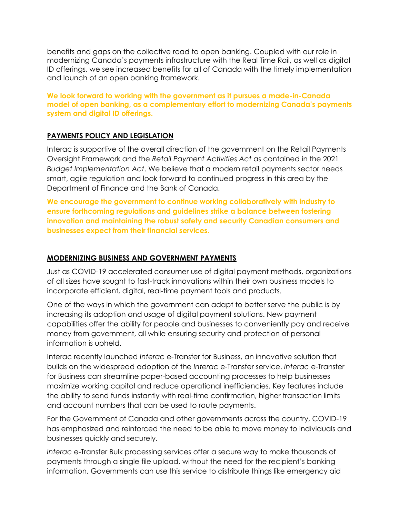benefits and gaps on the collective road to open banking. Coupled with our role in modernizing Canada's payments infrastructure with the Real Time Rail, as well as digital ID offerings, we see increased benefits for all of Canada with the timely implementation and launch of an open banking framework.

**We look forward to working with the government as it pursues a made-in-Canada model of open banking, as a complementary effort to modernizing Canada's payments system and digital ID offerings.**

## **PAYMENTS POLICY AND LEGISLATION**

Interac is supportive of the overall direction of the government on the Retail Payments Oversight Framework and the *Retail Payment Activities Act* as contained in the 2021 *Budget Implementation Act*. We believe that a modern retail payments sector needs smart, agile regulation and look forward to continued progress in this area by the Department of Finance and the Bank of Canada.

**We encourage the government to continue working collaboratively with industry to ensure forthcoming regulations and guidelines strike a balance between fostering innovation and maintaining the robust safety and security Canadian consumers and businesses expect from their financial services.** 

### **MODERNIZING BUSINESS AND GOVERNMENT PAYMENTS**

Just as COVID-19 accelerated consumer use of digital payment methods, organizations of all sizes have sought to fast-track innovations within their own business models to incorporate efficient, digital, real-time payment tools and products.

One of the ways in which the government can adapt to better serve the public is by increasing its adoption and usage of digital payment solutions. New payment capabilities offer the ability for people and businesses to conveniently pay and receive money from government, all while ensuring security and protection of personal information is upheld.

Interac recently launched *Interac* e-Transfer for Business, an innovative solution that builds on the widespread adoption of the *Interac* e-Transfer service. *Interac* e-Transfer for Business can streamline paper-based accounting processes to help businesses maximize working capital and reduce operational inefficiencies. Key features include the ability to send funds instantly with real-time confirmation, higher transaction limits and account numbers that can be used to route payments.

For the Government of Canada and other governments across the country, COVID-19 has emphasized and reinforced the need to be able to move money to individuals and businesses quickly and securely.

*Interac* e-Transfer Bulk processing services offer a secure way to make thousands of payments through a single file upload, without the need for the recipient's banking information. Governments can use this service to distribute things like emergency aid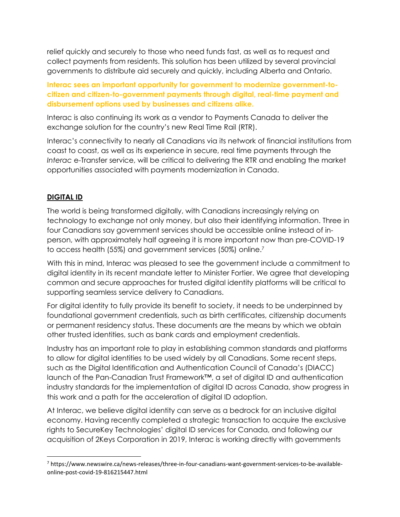relief quickly and securely to those who need funds fast, as well as to request and collect payments from residents. This solution has been utilized by several provincial governments to distribute aid securely and quickly, including Alberta and Ontario.

**Interac sees an important opportunity for government to modernize government-tocitizen and citizen-to-government payments through digital, real-time payment and disbursement options used by businesses and citizens alike.**

Interac is also continuing its work as a vendor to Payments Canada to deliver the exchange solution for the country's new Real Time Rail (RTR).

Interac's connectivity to nearly all Canadians via its network of financial institutions from coast to coast, as well as its experience in secure, real time payments through the *Interac* e-Transfer service, will be critical to delivering the RTR and enabling the market opportunities associated with payments modernization in Canada.

## **DIGITAL ID**

The world is being transformed digitally, with Canadians increasingly relying on technology to exchange not only money, but also their identifying information. Three in four Canadians say government services should be accessible online instead of inperson, with approximately half agreeing it is more important now than pre-COVID-19 to access health (55%) and government services (50%) online.<sup>7</sup>

With this in mind, Interac was pleased to see the government include a commitment to digital identity in its recent mandate letter to Minister Fortier. We agree that developing common and secure approaches for trusted digital identity platforms will be critical to supporting seamless service delivery to Canadians.

For digital identity to fully provide its benefit to society, it needs to be underpinned by foundational government credentials, such as birth certificates, citizenship documents or permanent residency status. These documents are the means by which we obtain other trusted identities, such as bank cards and employment credentials.

Industry has an important role to play in establishing common standards and platforms to allow for digital identities to be used widely by all Canadians. Some recent steps, such as the Digital Identification and Authentication Council of Canada's (DIACC) launch of the Pan-Canadian Trust Framework™, a set of digital ID and authentication industry standards for the implementation of digital ID across Canada, show progress in this work and a path for the acceleration of digital ID adoption.

At Interac, we believe digital identity can serve as a bedrock for an inclusive digital economy. Having recently completed a strategic transaction to acquire the exclusive rights to SecureKey Technologies' digital ID services for Canada, and following our acquisition of 2Keys Corporation in 2019, Interac is working directly with governments

<sup>7</sup> https://www.newswire.ca/news-releases/three-in-four-canadians-want-government-services-to-be-availableonline-post-covid-19-816215447.html